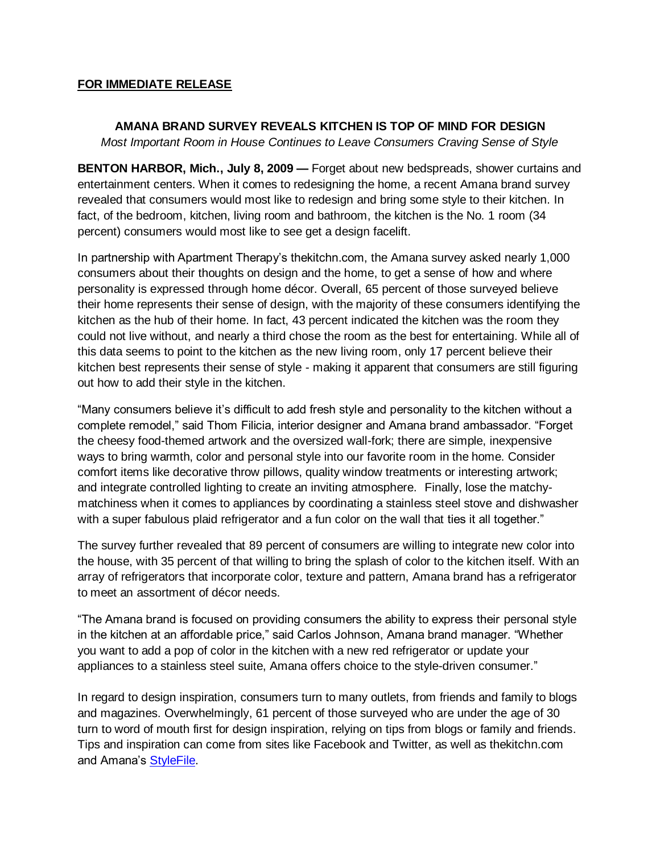## **FOR IMMEDIATE RELEASE**

## **AMANA BRAND SURVEY REVEALS KITCHEN IS TOP OF MIND FOR DESIGN**

*Most Important Room in House Continues to Leave Consumers Craving Sense of Style*

**BENTON HARBOR, Mich., July 8, 2009 —** Forget about new bedspreads, shower curtains and entertainment centers. When it comes to redesigning the home, a recent Amana brand survey revealed that consumers would most like to redesign and bring some style to their kitchen. In fact, of the bedroom, kitchen, living room and bathroom, the kitchen is the No. 1 room (34 percent) consumers would most like to see get a design facelift.

In partnership with Apartment Therapy's thekitchn.com, the Amana survey asked nearly 1,000 consumers about their thoughts on design and the home, to get a sense of how and where personality is expressed through home décor. Overall, 65 percent of those surveyed believe their home represents their sense of design, with the majority of these consumers identifying the kitchen as the hub of their home. In fact, 43 percent indicated the kitchen was the room they could not live without, and nearly a third chose the room as the best for entertaining. While all of this data seems to point to the kitchen as the new living room, only 17 percent believe their kitchen best represents their sense of style - making it apparent that consumers are still figuring out how to add their style in the kitchen.

"Many consumers believe it's difficult to add fresh style and personality to the kitchen without a complete remodel," said Thom Filicia, interior designer and Amana brand ambassador. "Forget the cheesy food-themed artwork and the oversized wall-fork; there are simple, inexpensive ways to bring warmth, color and personal style into our favorite room in the home. Consider comfort items like decorative throw pillows, quality window treatments or interesting artwork; and integrate controlled lighting to create an inviting atmosphere. Finally, lose the matchymatchiness when it comes to appliances by coordinating a stainless steel stove and dishwasher with a super fabulous plaid refrigerator and a fun color on the wall that ties it all together."

The survey further revealed that 89 percent of consumers are willing to integrate new color into the house, with 35 percent of that willing to bring the splash of color to the kitchen itself. With an array of refrigerators that incorporate color, texture and pattern, Amana brand has a refrigerator to meet an assortment of décor needs.

"The Amana brand is focused on providing consumers the ability to express their personal style in the kitchen at an affordable price," said Carlos Johnson, Amana brand manager. "Whether you want to add a pop of color in the kitchen with a new red refrigerator or update your appliances to a stainless steel suite, Amana offers choice to the style-driven consumer."

In regard to design inspiration, consumers turn to many outlets, from friends and family to blogs and magazines. Overwhelmingly, 61 percent of those surveyed who are under the age of 30 turn to word of mouth first for design inspiration, relying on tips from blogs or family and friends. Tips and inspiration can come from sites like Facebook and Twitter, as well as thekitchn.com and Amana's [StyleFile.](http://www.amanastylefile.com/)